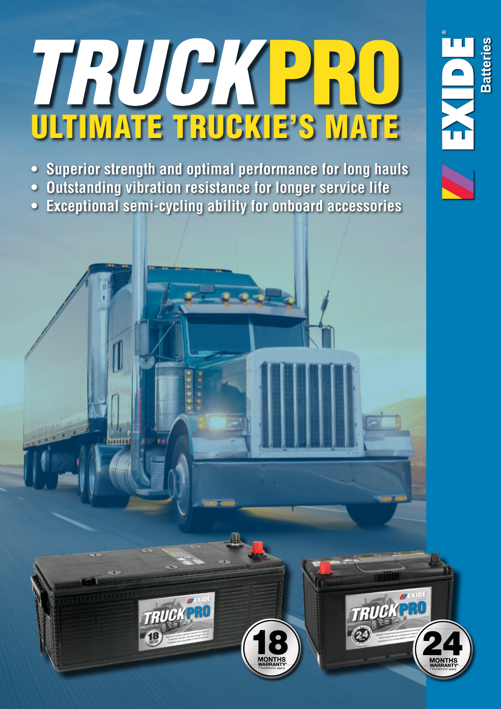# ULTIMATE TRUCKIE'S MATE

**Batteries** 

TRUCKPRO

**• Superior strength and optimal performance for long hauls • Outstanding vibration resistance for longer service life • Exceptional semi-cycling ability for onboard accessories**

TRUCKPL